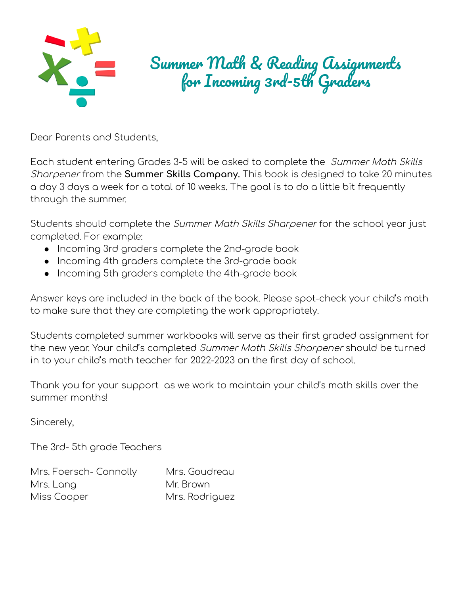

## Summer Math & Reading Assignments for Incoming 3rd-5th Graders

Dear Parents and Students,

Each student entering Grades 3-5 will be asked to complete the Summer Math Skills Sharpener from the **Summer Skills Company.** This book is designed to take 20 minutes a day 3 days a week for a total of 10 weeks. The goal is to do a little bit frequently through the summer.

Students should complete the Summer Math Skills Sharpener for the school year just completed. For example:

- Incoming 3rd graders complete the 2nd-grade book
- Incoming 4th graders complete the 3rd-grade book
- Incoming 5th graders complete the 4th-grade book

Answer keys are included in the back of the book. Please spot-check your child's math to make sure that they are completing the work appropriately.

Students completed summer workbooks will serve as their first graded assignment for the new year. Your child's completed Summer Math Skills Sharpener should be turned in to your child's math teacher for 2022-2023 on the first day of school.

Thank you for your support as we work to maintain your child's math skills over the summer months!

Sincerely,

The 3rd- 5th grade Teachers

| Mrs. Foersch-Connolly | Mrs. Goudreau  |
|-----------------------|----------------|
| Mrs. Lang             | Mr. Brown      |
| Miss Cooper           | Mrs. Rodriguez |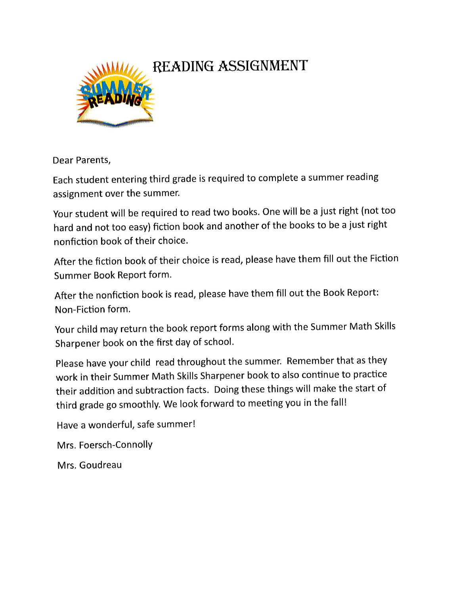

Dear Parents,

Each student entering third grade is required to complete a summer reading assignment over the summer.

Your student will be required to read two books. One will be a just right (not too hard and not too easy) fiction book and another of the books to be a just right nonfiction book of their choice.

After the fiction book of their choice is read, please have them fill out the Fiction Summer Book Report form.

After the nonfiction book is read, please have them fill out the Book Report: Non-Fiction form.

Your child may return the book report forms along with the Summer Math Skills Sharpener book on the first day of school.

Please have your child read throughout the summer. Remember that as they work in their Summer Math Skills Sharpener book to also continue to practice their addition and subtraction facts. Doing these things will make the start of third grade go smoothly. We look forward to meeting you in the fall!

Have a wonderful, safe summer!

Mrs. Foersch-Connolly

Mrs. Goudreau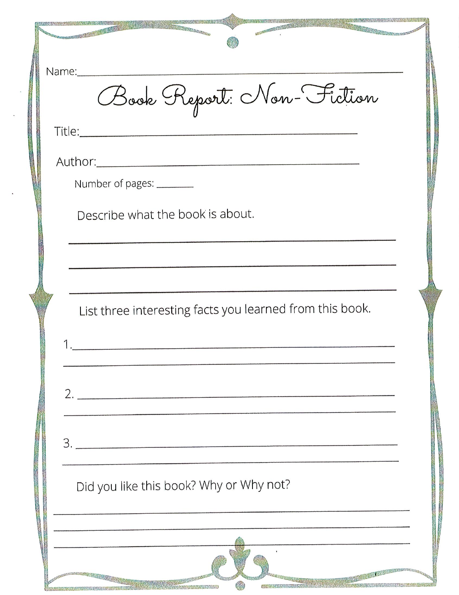| <b>ARRESTS MADE</b><br>Name:_________<br>Book Report: Non-Fiction |  |
|-------------------------------------------------------------------|--|
| Number of pages: ________                                         |  |
| Describe what the book is about.                                  |  |
| List three interesting facts you learned from this book.          |  |
|                                                                   |  |
| 2.                                                                |  |
| 3.<br>Did you like this book? Why or Why not?                     |  |
|                                                                   |  |